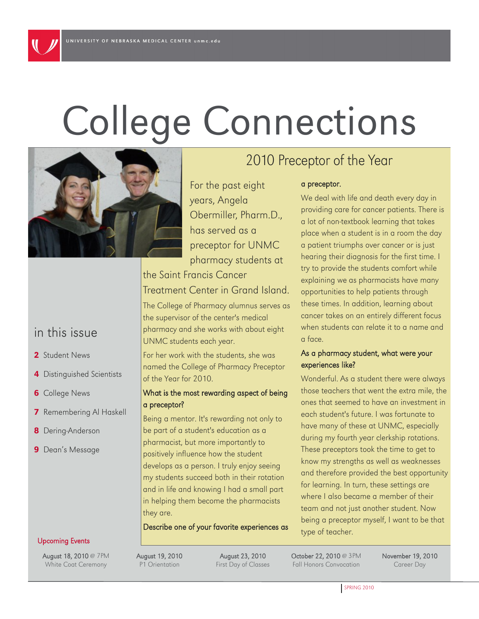# College Connections

For the past eight

Obermiller, Pharm.D.,

preceptor for UNMC

pharmacy students at

years, Angela

has served as a

Treatment Center in Grand Island.

The College of Pharmacy alumnus serves as

the supervisor of the center's medical pharmacy and she works with about eight

For her work with the students, she was named the College of Pharmacy Preceptor

What is the most rewarding aspect of being

Being a mentor. It's rewarding not only to be part of a student's education as a pharmacist, but more importantly to positively influence how the student develops as a person. I truly enjoy seeing my students succeed both in their rotation and in life and knowing I had a small part in helping them become the pharmacists

Describe one of your favorite experiences as

the Saint Francis Cancer

UNMC students each year.

of the Year for 2010.

a preceptor?



### in this issue

- 2 Student News
- 4 Distinguished Scientists
- **6** College News
- **7** Remembering Al Haskell
- 8 Dering-Anderson
- **9** Dean's Message

# 2010 Preceptor of the Year

#### a preceptor.

We deal with life and death every day in providing care for cancer patients. There is a lot of non-textbook learning that takes place when a student is in a room the day a patient triumphs over cancer or is just hearing their diagnosis for the first time. I try to provide the students comfort while explaining we as pharmacists have many opportunities to help patients through these times. In addition, learning about cancer takes on an entirely different focus when students can relate it to a name and a face.

#### As a pharmacy student, what were your experiences like?

Wonderful. As a student there were always those teachers that went the extra mile, the ones that seemed to have an investment in each student's future. I was fortunate to have many of these at UNMC, especially during my fourth year clerkship rotations. These preceptors took the time to get to know my strengths as well as weaknesses and therefore provided the best opportunity for learning. In turn, these settings are where I also became a member of their team and not just another student. Now being a preceptor myself, I want to be that type of teacher.

#### Upcoming Events

August 18, 2010 @ 7PM White Coat Ceremony

August 19, 2010 P1 Orientation

they are.

August 23, 2010 First Day of Classes October 22, 2010 @ 3PM Fall Honors Convocation

November 19, 2010 Career Day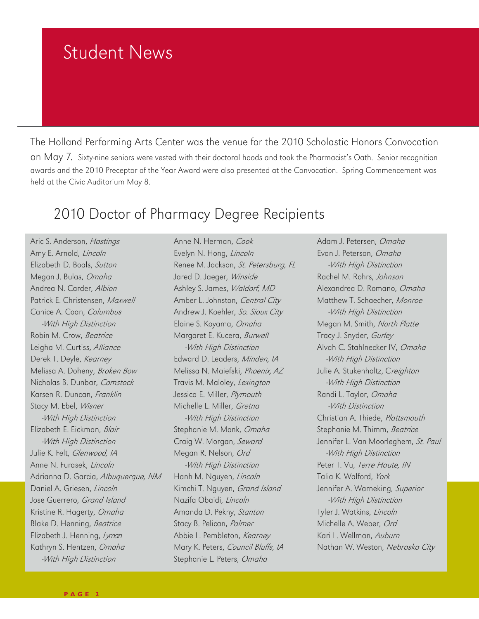# Student News

The Holland Performing Arts Center was the venue for the 2010 Scholastic Honors Convocation on May 7. Sixty-nine seniors were vested with their doctoral hoods and took the Pharmacist's Oath. Senior recognition awards and the 2010 Preceptor of the Year Award were also presented at the Convocation. Spring Commencement was held at the Civic Auditorium May 8.

### 2010 Doctor of Pharmacy Degree Recipients

Aric S. Anderson, Hastings Amy E. Arnold, Lincoln Elizabeth D. Boals, Sutton Megan J. Bulas, Omaha Andrea N. Carder, Albion Patrick E. Christensen, Maxwell Canice A. Coan, Columbus -With High Distinction Robin M. Crow, Beatrice Leigha M. Curtiss, Alliance Derek T. Deyle, Kearney Melissa A. Doheny, Broken Bow Nicholas B. Dunbar, Comstock Karsen R. Duncan, Franklin Stacy M. Ebel, Wisner -With High Distinction Elizabeth E. Eickman, Blair -With High Distinction Julie K. Felt, Glenwood, IA Anne N. Furasek, Lincoln Adrianna D. Garcia, Albuquerque, NM Daniel A. Griesen, Lincoln Jose Guerrero, Grand Island Kristine R. Hagerty, Omaha Blake D. Henning, Beatrice Elizabeth J. Henning, Lyman Kathryn S. Hentzen, Omaha -With High Distinction

Anne N. Herman, Cook Evelyn N. Hong, Lincoln Renee M. Jackson, St. Petersburg, FL Jared D. Jaeger, Winside Ashley S. James, Waldorf, MD Amber L. Johnston, Central City Andrew J. Koehler, So. Sioux City Elaine S. Koyama, Omaha Margaret E. Kucera, Burwell -With High Distinction Edward D. Leaders, Minden, IA Melissa N. Maiefski, Phoenix, AZ Travis M. Maloley, Lexington Jessica E. Miller, Plymouth Michelle L. Miller, Gretna -With High Distinction Stephanie M. Monk, Omaha Craig W. Morgan, Seward Megan R. Nelson, Ord -With High Distinction Hanh M. Nguyen, Lincoln Kimchi T. Nguyen, Grand Island Nazifa Obaidi, Lincoln Amanda D. Pekny, Stanton Stacy B. Pelican, Palmer Abbie L. Pembleton, Kearney Mary K. Peters, Council Bluffs, IA Stephanie L. Peters, Omaha

Adam J. Petersen, Omaha Evan J. Peterson, Omaha -With High Distinction Rachel M. Rohrs, Johnson Alexandrea D. Romano, Omaha Matthew T. Schaecher, Monroe -With High Distinction Megan M. Smith, North Platte Tracy J. Snyder, Gurley Alvah C. Stahlnecker IV, Omaha -With High Distinction Julie A. Stukenholtz, Creighton -With High Distinction Randi L. Taylor, Omaha -With Distinction Christian A. Thiede, Plattsmouth Stephanie M. Thimm, Beatrice Jennifer L. Van Moorleghem, St. Paul -With High Distinction Peter T. Vu, Terre Haute, IN Talia K. Walford, York Jennifer A. Warneking, Superior -With High Distinction Tyler J. Watkins, Lincoln Michelle A. Weber, Ord Kari L. Wellman, Auburn Nathan W. Weston, Nebraska City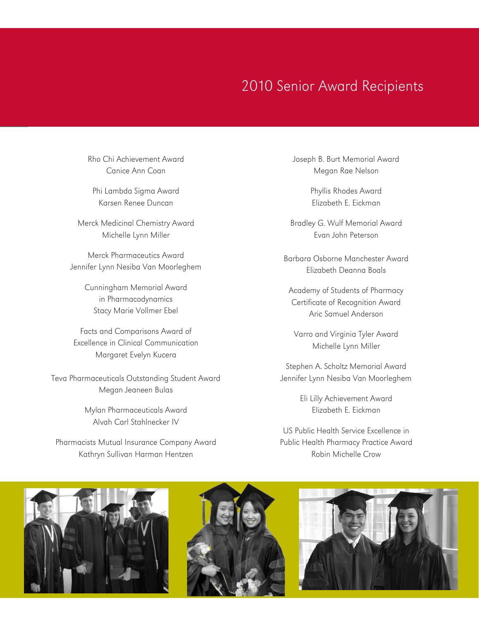### 2010 Senior Award Recipients

Rho Chi Achievement Award Canice Ann Coan

Phi Lambda Sigma Award Karsen Renee Duncan

Merck Medicinal Chemistry Award Michelle Lynn Miller

Merck Pharmaceutics Award Jennifer Lynn Nesiba Van Moorleghem

> Cunningham Memorial Award in Pharmacodynamics Stacy Marie Vollmer Ebel

Facts and Comparisons Award of Excellence in Clinical Communication Margaret Evelyn Kucera

Teva Pharmaceuticals Outstanding Student Award Megan Jeaneen Bulas

> Mylan Pharmaceuticals Award Alvah Carl Stahlnecker IV

Pharmacists Mutual Insurance Company Award Kathryn Sullivan Harman Hentzen

Joseph B. Burt Memorial Award Megan Rae Nelson

> Phyllis Rhodes Award Elizabeth E. Eickman

Bradley G. Wulf Memorial Award Evan John Peterson

Barbara Osborne Manchester Award Elizabeth Deanna Boals

Academy of Students of Pharmacy Certificate of Recognition Award Aric Samuel Anderson

Varro and Virginia Tyler Award Michelle Lynn Miller

Stephen A. Scholtz Memorial Award Jennifer Lynn Nesiba Van Moorleghem

> Eli Lilly Achievement Award Elizabeth E. Eickman

US Public Health Service Excellence in Public Health Pharmacy Practice Award Robin Michelle Crow

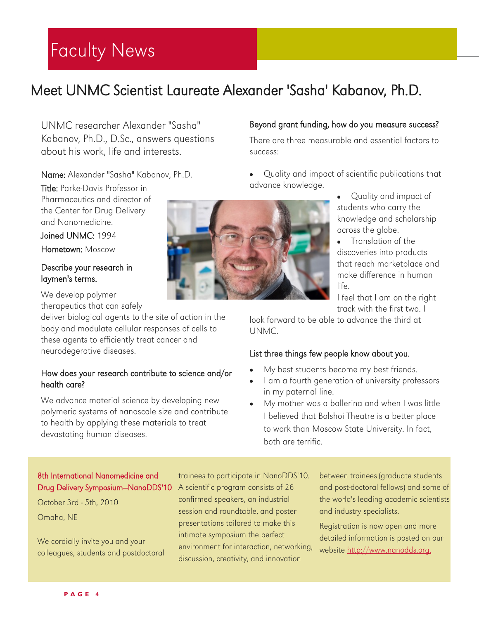# Faculty News

# Meet UNMC Scientist Laureate Alexander 'Sasha' Kabanov, Ph.D.

UNMC researcher Alexander "Sasha" Kabanov, Ph.D., D.Sc., answers questions about his work, life and interests.

#### Name: Alexander "Sasha" Kabanov, Ph.D.

Title: Parke-Davis Professor in Pharmaceutics and director of the Center for Drug Delivery and Nanomedicine.

Joined UNMC: 1994 Hometown: Moscow

#### Describe your research in laymen's terms.

We develop polymer

therapeutics that can safely

deliver biological agents to the site of action in the body and modulate cellular responses of cells to these agents to efficiently treat cancer and neurodegerative diseases.

#### How does your research contribute to science and/or health care?

We advance material science by developing new polymeric systems of nanoscale size and contribute to health by applying these materials to treat devastating human diseases.



#### Beyond grant funding, how do you measure success?

There are three measurable and essential factors to success:

- Quality and impact of scientific publications that advance knowledge.
	- Quality and impact of students who carry the knowledge and scholarship across the globe.
	- Translation of the discoveries into products that reach marketplace and make difference in human life.

I feel that I am on the right track with the first two. I

look forward to be able to advance the third at UNMC.

#### List three things few people know about you.

- My best students become my best friends.
- I am a fourth generation of university professors in my paternal line.
- My mother was a ballerina and when I was little I believed that Bolshoi Theatre is a better place to work than Moscow State University. In fact, both are terrific.

#### 8th International Nanomedicine and Drug Delivery Symposium—NanoDDS'10

October 3rd - 5th, 2010 Omaha, NE

We cordially invite you and your colleagues, students and postdoctoral

trainees to participate in NanoDDS'10. A scientific program consists of 26 confirmed speakers, an industrial session and roundtable, and poster presentations tailored to make this intimate symposium the perfect environment for interaction, networking, discussion, creativity, and innovation

between trainees (graduate students and post-doctoral fellows) and some of the world's leading academic scientists and industry specialists.

Registration is now open and more detailed information is posted on our website [http://www.nanodds.org.](http://www.nanodds.org/template_view.cfm?PageID=1)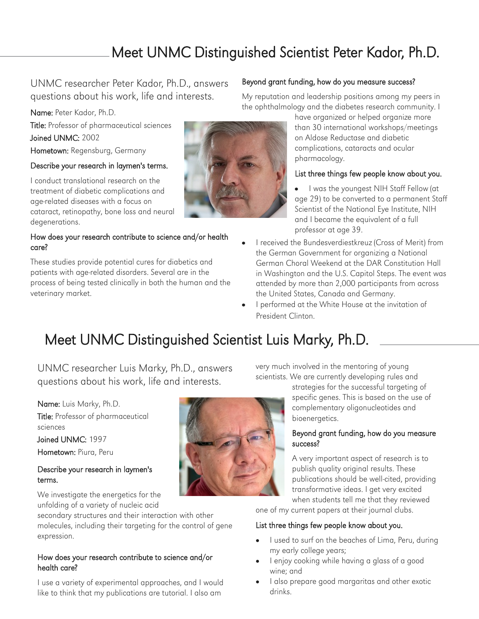# Meet UNMC Distinguished Scientist Peter Kador, Ph.D.

#### UNMC researcher Peter Kador, Ph.D., answers questions about his work, life and interests.

Name: Peter Kador, Ph.D.

Title: Professor of pharmaceutical sciences Joined UNMC: 2002 Hometown: Regensburg, Germany

#### Describe your research in laymen's terms.

I conduct translational research on the treatment of diabetic complications and age-related diseases with a focus on cataract, retinopathy, bone loss and neural degenerations.

#### How does your research contribute to science and/or health care?

These studies provide potential cures for diabetics and patients with age-related disorders. Several are in the process of being tested clinically in both the human and the veterinary market.

#### Beyond grant funding, how do you measure success?

My reputation and leadership positions among my peers in the ophthalmology and the diabetes research community. I

have organized or helped organize more than 30 international workshops/meetings on Aldose Reductase and diabetic complications, cataracts and ocular pharmacology.

#### List three things few people know about you.

- I was the youngest NIH Staff Fellow (at age 29) to be converted to a permanent Staff Scientist of the National Eye Institute, NIH and I became the equivalent of a full professor at age 39.
- I received the Bundesverdiestkreuz (Cross of Merit) from the German Government for organizing a National German Choral Weekend at the DAR Constitution Hall in Washington and the U.S. Capitol Steps. The event was attended by more than 2,000 participants from across the United States, Canada and Germany.
- I performed at the White House at the invitation of President Clinton.

# Meet UNMC Distinguished Scientist Luis Marky, Ph.D.

UNMC researcher Luis Marky, Ph.D., answers questions about his work, life and interests.

Name: Luis Marky, Ph.D. Title: Professor of pharmaceutical sciences

Joined UNMC: 1997 Hometown: Piura, Peru

#### Describe your research in laymen's terms.

We investigate the energetics for the unfolding of a variety of nucleic acid

secondary structures and their interaction with other molecules, including their targeting for the control of gene expression.

#### How does your research contribute to science and/or health care?

I use a variety of experimental approaches, and I would like to think that my publications are tutorial. I also am



very much involved in the mentoring of young scientists. We are currently developing rules and

> strategies for the successful targeting of specific genes. This is based on the use of complementary oligonucleotides and bioenergetics.

#### Beyond grant funding, how do you measure success?

A very important aspect of research is to publish quality original results. These publications should be well-cited, providing transformative ideas. I get very excited when students tell me that they reviewed

one of my current papers at their journal clubs.

#### List three things few people know about you.

- I used to surf on the beaches of Lima, Peru, during my early college years;
- I enjoy cooking while having a glass of a good wine; and
- I also prepare good margaritas and other exotic drinks.

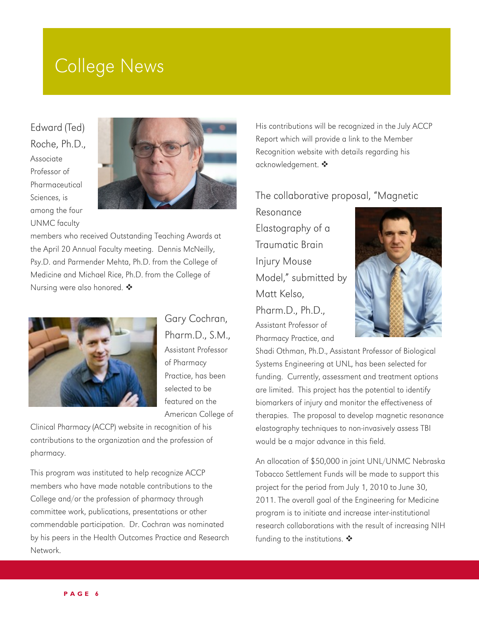# College News

Edward (Ted) Roche, Ph.D., Associate Professor of Pharmaceutical Sciences, is among the four UNMC faculty



members who received Outstanding Teaching Awards at the April 20 Annual Faculty meeting. Dennis McNeilly, Psy.D. and Parmender Mehta, Ph.D. from the College of Medicine and Michael Rice, Ph.D. from the College of Nursing were also honored.  $\clubsuit$ 



Gary Cochran, Pharm.D., S.M., Assistant Professor of Pharmacy Practice, has been selected to be featured on the American College of

Clinical Pharmacy (ACCP) website in recognition of his contributions to the organization and the profession of pharmacy.

This program was instituted to help recognize ACCP members who have made notable contributions to the College and/or the profession of pharmacy through committee work, publications, presentations or other commendable participation. Dr. Cochran was nominated by his peers in the Health Outcomes Practice and Research Network.

His contributions will be recognized in the July ACCP Report which will provide a link to the Member Recognition website with details regarding his acknowledgement. ◆

#### The collaborative proposal, "Magnetic

Resonance Elastography of a Traumatic Brain Injury Mouse Model," submitted by Matt Kelso, Pharm.D., Ph.D., Assistant Professor of Pharmacy Practice, and



Shadi Othman, Ph.D., Assistant Professor of Biological Systems Engineering at UNL, has been selected for funding. Currently, assessment and treatment options are limited. This project has the potential to identify biomarkers of injury and monitor the effectiveness of therapies. The proposal to develop magnetic resonance elastography techniques to non-invasively assess TBI would be a major advance in this field.

An allocation of \$50,000 in joint UNL/UNMC Nebraska Tobacco Settlement Funds will be made to support this project for the period from July 1, 2010 to June 30, 2011. The overall goal of the Engineering for Medicine program is to initiate and increase inter-institutional research collaborations with the result of increasing NIH funding to the institutions.  $\clubsuit$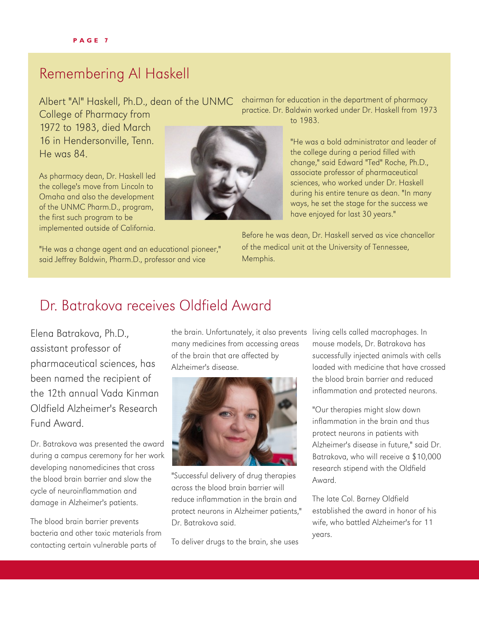### Remembering Al Haskell

Albert "Al" Haskell, Ph.D., dean of the UNMC

College of Pharmacy from 1972 to 1983, died March 16 in Hendersonville, Tenn. He was 84.

As pharmacy dean, Dr. Haskell led the college's move from Lincoln to Omaha and also the development of the UNMC Pharm.D., program, the first such program to be implemented outside of California.

"He was a change agent and an educational pioneer," said Jeffrey Baldwin, Pharm.D., professor and vice



chairman for education in the department of pharmacy practice. Dr. Baldwin worked under Dr. Haskell from 1973 to 1983.

> "He was a bold administrator and leader of the college during a period filled with change," said Edward "Ted" Roche, Ph.D., associate professor of pharmaceutical sciences, who worked under Dr. Haskell during his entire tenure as dean. "In many ways, he set the stage for the success we have enjoyed for last 30 years."

Before he was dean, Dr. Haskell served as vice chancellor of the medical unit at the University of Tennessee, Memphis.

### Dr. Batrakova receives Oldfield Award

Elena Batrakova, Ph.D., assistant professor of pharmaceutical sciences, has been named the recipient of the 12th annual Vada Kinman Oldfield Alzheimer's Research Fund Award.

Dr. Batrakova was presented the award during a campus ceremony for her work developing nanomedicines that cross the blood brain barrier and slow the cycle of neuroinflammation and damage in Alzheimer's patients.

The blood brain barrier prevents bacteria and other toxic materials from contacting certain vulnerable parts of

many medicines from accessing areas of the brain that are affected by Alzheimer's disease.



"Successful delivery of drug therapies across the blood brain barrier will reduce inflammation in the brain and protect neurons in Alzheimer patients," Dr. Batrakova said.

To deliver drugs to the brain, she uses

the brain. Unfortunately, it also prevents living cells called macrophages. In mouse models, Dr. Batrakova has successfully injected animals with cells loaded with medicine that have crossed the blood brain barrier and reduced inflammation and protected neurons.

> "Our therapies might slow down inflammation in the brain and thus protect neurons in patients with Alzheimer's disease in future," said Dr. Batrakova, who will receive a \$10,000 research stipend with the Oldfield Award.

The late Col. Barney Oldfield established the award in honor of his wife, who battled Alzheimer's for 11 years.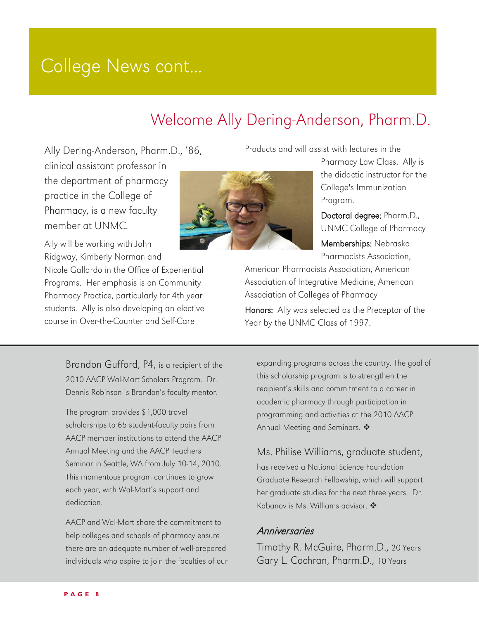# College News cont...

# Welcome Ally Dering-Anderson, Pharm.D.

Ally Dering-Anderson, Pharm.D., '86, clinical assistant professor in

the department of pharmacy practice in the College of Pharmacy, is a new faculty member at UNMC.



Ally will be working with John Ridgway, Kimberly Norman and

Nicole Gallardo in the Office of Experiential Programs. Her emphasis is on Community Pharmacy Practice, particularly for 4th year students. Ally is also developing an elective course in Over-the-Counter and Self-Care

Products and will assist with lectures in the

Pharmacy Law Class. Ally is the didactic instructor for the College's Immunization Program.

Doctoral degree: Pharm.D., UNMC College of Pharmacy Memberships: Nebraska Pharmacists Association,

American Pharmacists Association, American Association of Integrative Medicine, American Association of Colleges of Pharmacy Honors: Ally was selected as the Preceptor of the Year by the UNMC Class of 1997.

Brandon Gufford, P4, is a recipient of the 2010 AACP Wal-Mart Scholars Program. Dr. Dennis Robinson is Brandon's faculty mentor.

The program provides \$1,000 travel scholarships to 65 student-faculty pairs from AACP member institutions to attend the AACP Annual Meeting and the AACP Teachers Seminar in Seattle, WA from July 10-14, 2010. This momentous program continues to grow each year, with Wal-Mart's support and dedication.

AACP and Wal-Mart share the commitment to help colleges and schools of pharmacy ensure there are an adequate number of well-prepared individuals who aspire to join the faculties of our

expanding programs across the country. The goal of this scholarship program is to strengthen the recipient's skills and commitment to a career in academic pharmacy through participation in programming and activities at the 2010 AACP Annual Meeting and Seminars. ❖

Ms. Philise Williams, graduate student, has received a National Science Foundation Graduate Research Fellowship, which will support her graduate studies for the next three years. Dr. Kabanov is Ms. Williams advisor.  $\clubsuit$ 

#### **Anniversaries**

Timothy R. McGuire, Pharm.D., 20 Years Gary L. Cochran, Pharm.D., 10 Years